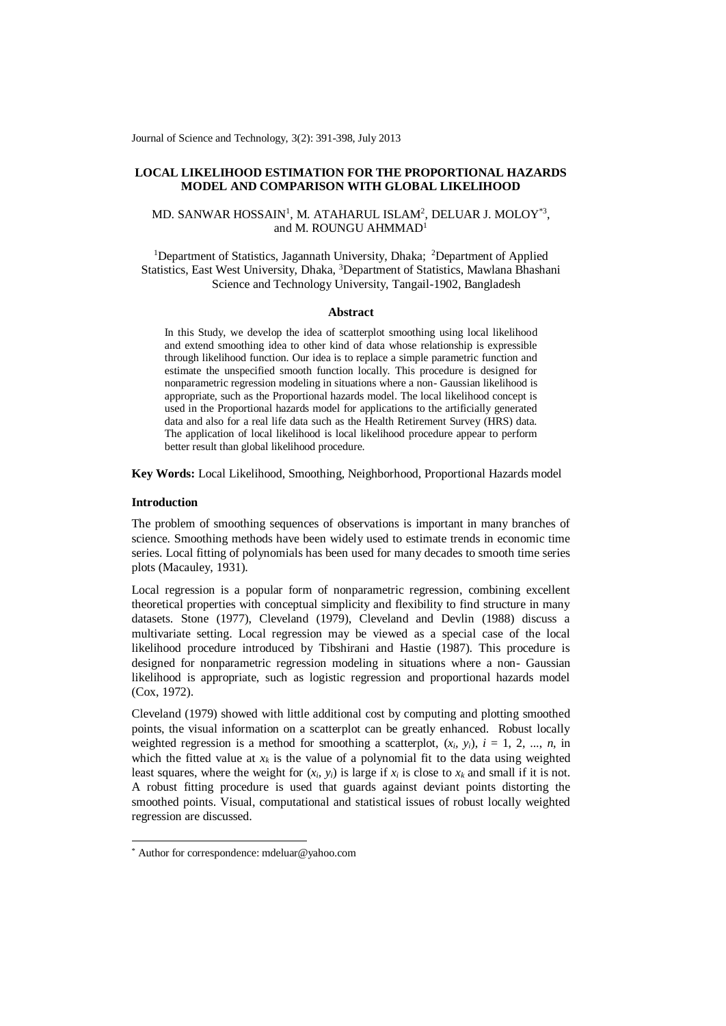Journal of Science and Technology, 3(2): 391-398, July 2013

# **LOCAL LIKELIHOOD ESTIMATION FOR THE PROPORTIONAL HAZARDS MODEL AND COMPARISON WITH GLOBAL LIKELIHOOD**

# MD. SANWAR HOSSAIN<sup>1</sup>, M. ATAHARUL ISLAM<sup>2</sup>, DELUAR J. MOLOY $^{\ast 3},$ and M. ROUNGU AHMMAD<sup>1</sup>

<sup>1</sup>Department of Statistics, Jagannath University, Dhaka; <sup>2</sup>Department of Applied Statistics, East West University, Dhaka, <sup>3</sup>Department of Statistics, Mawlana Bhashani Science and Technology University, Tangail-1902, Bangladesh

## **Abstract**

In this Study, we develop the idea of scatterplot smoothing using local likelihood and extend smoothing idea to other kind of data whose relationship is expressible through likelihood function. Our idea is to replace a simple parametric function and estimate the unspecified smooth function locally. This procedure is designed for nonparametric regression modeling in situations where a non- Gaussian likelihood is appropriate, such as the Proportional hazards model. The local likelihood concept is used in the Proportional hazards model for applications to the artificially generated data and also for a real life data such as the Health Retirement Survey (HRS) data. The application of local likelihood is local likelihood procedure appear to perform better result than global likelihood procedure.

**Key Words:** Local Likelihood, Smoothing, Neighborhood, Proportional Hazards model

#### **Introduction**

-

The problem of smoothing sequences of observations is important in many branches of science. Smoothing methods have been widely used to estimate trends in economic time series. Local fitting of polynomials has been used for many decades to smooth time series plots (Macauley, 1931).

Local regression is a popular form of nonparametric regression, combining excellent theoretical properties with conceptual simplicity and flexibility to find structure in many datasets. Stone (1977), Cleveland (1979), Cleveland and Devlin (1988) discuss a multivariate setting. Local regression may be viewed as a special case of the local likelihood procedure introduced by Tibshirani and Hastie (1987). This procedure is designed for nonparametric regression modeling in situations where a non- Gaussian likelihood is appropriate, such as logistic regression and proportional hazards model (Cox, 1972).

Cleveland (1979) showed with little additional cost by computing and plotting smoothed points, the visual information on a scatterplot can be greatly enhanced. Robust locally weighted regression is a method for smoothing a scatterplot,  $(x_i, y_i)$ ,  $i = 1, 2, ..., n$ , in which the fitted value at  $x_k$  is the value of a polynomial fit to the data using weighted least squares, where the weight for  $(x_i, y_i)$  is large if  $x_i$  is close to  $x_k$  and small if it is not. A robust fitting procedure is used that guards against deviant points distorting the smoothed points. Visual, computational and statistical issues of robust locally weighted regression are discussed.

<sup>\*</sup> Author for correspondence: mdeluar@yahoo.com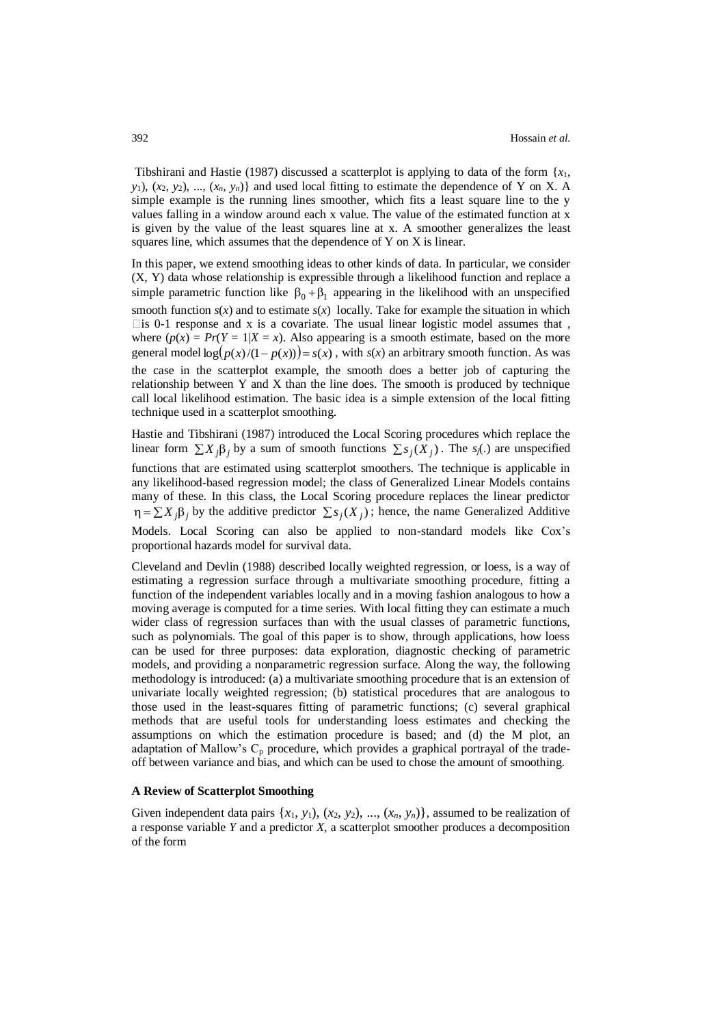Tibshirani and Hastie (1987) discussed a scatterplot is applying to data of the form  $\{x_1,$  $y_1$ ,  $(x_2, y_2), ..., (x_n, y_n)$  and used local fitting to estimate the dependence of Y on X. A simple example is the running lines smoother, which fits a least square line to the y values falling in a window around each x value. The value of the estimated function at x is given by the value of the least squares line at x. A smoother generalizes the least squares line, which assumes that the dependence of Y on X is linear.

In this paper, we extend smoothing ideas to other kinds of data. In particular, we consider (X, Y) data whose relationship is expressible through a likelihood function and replace a simple parametric function like  $\beta_0 + \beta_1$  appearing in the likelihood with an unspecified smooth function  $s(x)$  and to estimate  $s(x)$  locally. Take for example the situation in which  $\Box$  is 0-1 response and x is a covariate. The usual linear logistic model assumes that, where  $(p(x) = Pr(Y = 1 | X = x)$ . Also appearing is a smooth estimate, based on the more general model  $\log(p(x)/(1-p(x))) = s(x)$ , with  $s(x)$  an arbitrary smooth function. As was the case in the scatterplot example, the smooth does a better job of capturing the relationship between Y and X than the line does. The smooth is produced by technique call local likelihood estimation. The basic idea is a simple extension of the local fitting technique used in a scatterplot smoothing.

Hastie and Tibshirani (1987) introduced the Local Scoring procedures which replace the linear form  $\sum X_j \beta_j$  by a sum of smooth functions  $\sum s_j(X_j)$ . The *s*<sub>*j*</sub>(.) are unspecified functions that are estimated using scatterplot smoothers. The technique is applicable in any likelihood-based regression model; the class of Generalized Linear Models contains many of these. In this class, the Local Scoring procedure replaces the linear predictor  $\eta = \sum X_j \beta_j$  by the additive predictor  $\sum s_j(X_j)$ ; hence, the name Generalized Additive Models. Local Scoring can also be applied to non-standard models like Cox's proportional hazards model for survival data.

Cleveland and Devlin (1988) described locally weighted regression, or loess, is a way of estimating a regression surface through a multivariate smoothing procedure, fitting a function of the independent variables locally and in a moving fashion analogous to how a moving average is computed for a time series. With local fitting they can estimate a much wider class of regression surfaces than with the usual classes of parametric functions, such as polynomials. The goal of this paper is to show, through applications, how loess can be used for three purposes: data exploration, diagnostic checking of parametric models, and providing a nonparametric regression surface. Along the way, the following methodology is introduced: (a) a multivariate smoothing procedure that is an extension of univariate locally weighted regression; (b) statistical procedures that are analogous to those used in the least-squares fitting of parametric functions; (c) several graphical methods that are useful tools for understanding loess estimates and checking the assumptions on which the estimation procedure is based; and (d) the M plot, an adaptation of Mallow's  $C_p$  procedure, which provides a graphical portrayal of the tradeoff between variance and bias, and which can be used to chose the amount of smoothing.

#### **A Review of Scatterplot Smoothing**

Given independent data pairs  $\{x_1, y_1\}$ ,  $(x_2, y_2)$ , ...,  $(x_n, y_n)$ , assumed to be realization of a response variable *Y* and a predictor *X*, a scatterplot smoother produces a decomposition of the form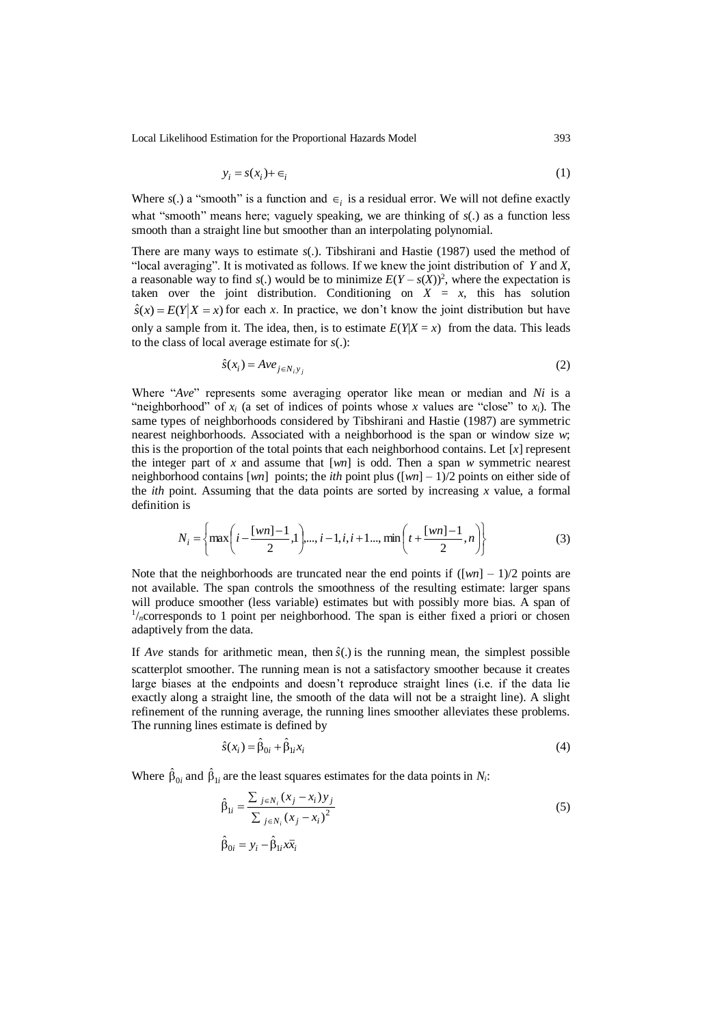Local Likelihood Estimation for the Proportional Hazards Model 393

$$
y_i = s(x_i) + \epsilon_i \tag{1}
$$

Where  $s(.)$  a "smooth" is a function and  $\epsilon_i$  is a residual error. We will not define exactly what "smooth" means here; vaguely speaking, we are thinking of  $s(.)$  as a function less smooth than a straight line but smoother than an interpolating polynomial.

There are many ways to estimate *s*(.). Tibshirani and Hastie (1987) used the method of "local averaging". It is motivated as follows. If we knew the joint distribution of *Y* and *X*, a reasonable way to find  $s(.)$  would be to minimize  $E(Y - s(X))^2$ , where the expectation is taken over the joint distribution. Conditioning on  $X = x$ , this has solution  $\hat{s}(x) = E(Y|X = x)$  for each *x*. In practice, we don't know the joint distribution but have only a sample from it. The idea, then, is to estimate  $E(Y|X=x)$  from the data. This leads to the class of local average estimate for *s*(.):

$$
\hat{s}(x_i) = A v e_{j \in N_i y_j} \tag{2}
$$

Where "*Ave*" represents some averaging operator like mean or median and *Ni* is a "neighborhood" of  $x_i$  (a set of indices of points whose x values are "close" to  $x_i$ ). The same types of neighborhoods considered by Tibshirani and Hastie (1987) are symmetric nearest neighborhoods. Associated with a neighborhood is the span or window size *w*; this is the proportion of the total points that each neighborhood contains. Let [*x*] represent the integer part of *x* and assume that [*wn*] is odd. Then a span *w* symmetric nearest neighborhood contains [*wn*] points; the *ith* point plus ([*wn*] – 1)/2 points on either side of the *ith* point. Assuming that the data points are sorted by increasing *x* value, a formal definition is

$$
N_i = \left\{ \max \left( i - \frac{[wn] - 1}{2}, 1 \right), \dots, i - 1, i, i + 1, \dots, \min \left( t + \frac{[wn] - 1}{2}, n \right) \right\} \tag{3}
$$

Note that the neighborhoods are truncated near the end points if  $(\lceil w \rceil - 1)/2$  points are not available. The span controls the smoothness of the resulting estimate: larger spans will produce smoother (less variable) estimates but with possibly more bias. A span of <sup>1</sup>/<sub>n</sub>corresponds to 1 point per neighborhood. The span is either fixed a priori or chosen adaptively from the data.

If *Ave* stands for arithmetic mean, then  $\hat{s}$ . is the running mean, the simplest possible scatterplot smoother. The running mean is not a satisfactory smoother because it creates large biases at the endpoints and doesn't reproduce straight lines (i.e. if the data lie exactly along a straight line, the smooth of the data will not be a straight line). A slight refinement of the running average, the running lines smoother alleviates these problems. The running lines estimate is defined by

$$
\hat{s}(x_i) = \hat{\beta}_{0i} + \hat{\beta}_{1i} x_i \tag{4}
$$

Where  $\hat{\beta}_{0i}$  and  $\hat{\beta}_{1i}$  are the least squares estimates for the data points in *N<sub>i</sub>*:

ˆ

$$
\hat{\beta}_{1i} = \frac{\sum_{j \in N_i} (x_j - x_i) y_j}{\sum_{j \in N_i} (x_j - x_i)^2}
$$
\n
$$
\hat{\beta}_{0i} = y_i - \hat{\beta}_{1i} x \overline{x}_i
$$
\n(5)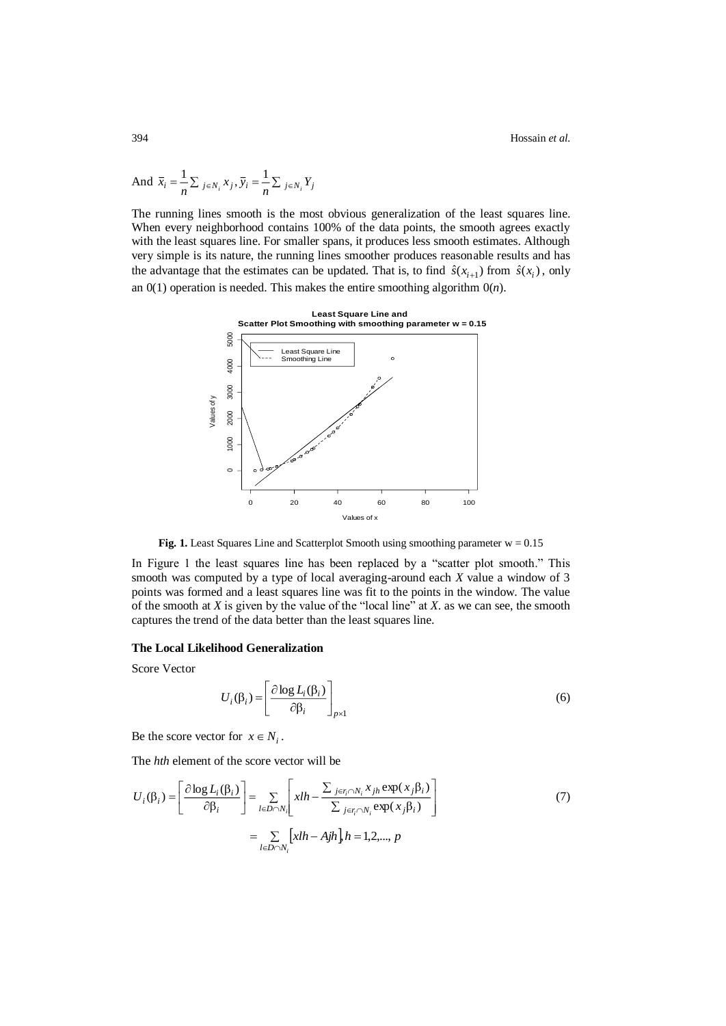394 Hossain *et al.*

And 
$$
\overline{x}_i = \frac{1}{n} \sum_{j \in N_i} x_j
$$
,  $\overline{y}_i = \frac{1}{n} \sum_{j \in N_i} Y_j$ 

The running lines smooth is the most obvious generalization of the least squares line. When every neighborhood contains 100% of the data points, the smooth agrees exactly with the least squares line. For smaller spans, it produces less smooth estimates. Although very simple is its nature, the running lines smoother produces reasonable results and has the advantage that the estimates can be updated. That is, to find  $\hat{s}(x_{i+1})$  from  $\hat{s}(x_i)$ , only an  $0(1)$  operation is needed. This makes the entire smoothing algorithm  $0(n)$ .



**Fig. 1.** Least Squares Line and Scatterplot Smooth using smoothing parameter  $w = 0.15$ 

In Figure 1 the least squares line has been replaced by a "scatter plot smooth." This smooth was computed by a type of local averaging-around each *X* value a window of 3 points was formed and a least squares line was fit to the points in the window. The value of the smooth at *X* is given by the value of the "local line" at *X*. as we can see, the smooth captures the trend of the data better than the least squares line.

#### **The Local Likelihood Generalization**

Score Vector

$$
U_i(\beta_i) = \left[\frac{\partial \log L_i(\beta_i)}{\partial \beta_i}\right]_{p \times 1} \tag{6}
$$

Be the score vector for  $x \in N_i$ .

The *hth* element of the score vector will be

$$
U_i(\beta_i) = \left[\frac{\partial \log L_i(\beta_i)}{\partial \beta_i}\right] = \sum_{l \in D \cap N_i} \left[ xlh - \frac{\sum_{j \in r_i \cap N_i} x_{jh} \exp(x_j \beta_i)}{\sum_{j \in r_i \cap N_i} \exp(x_j \beta_i)} \right]
$$
(7)  

$$
= \sum_{l \in D \cap N_i} \left[ xlh - Ajh \right] h = 1, 2, ..., p
$$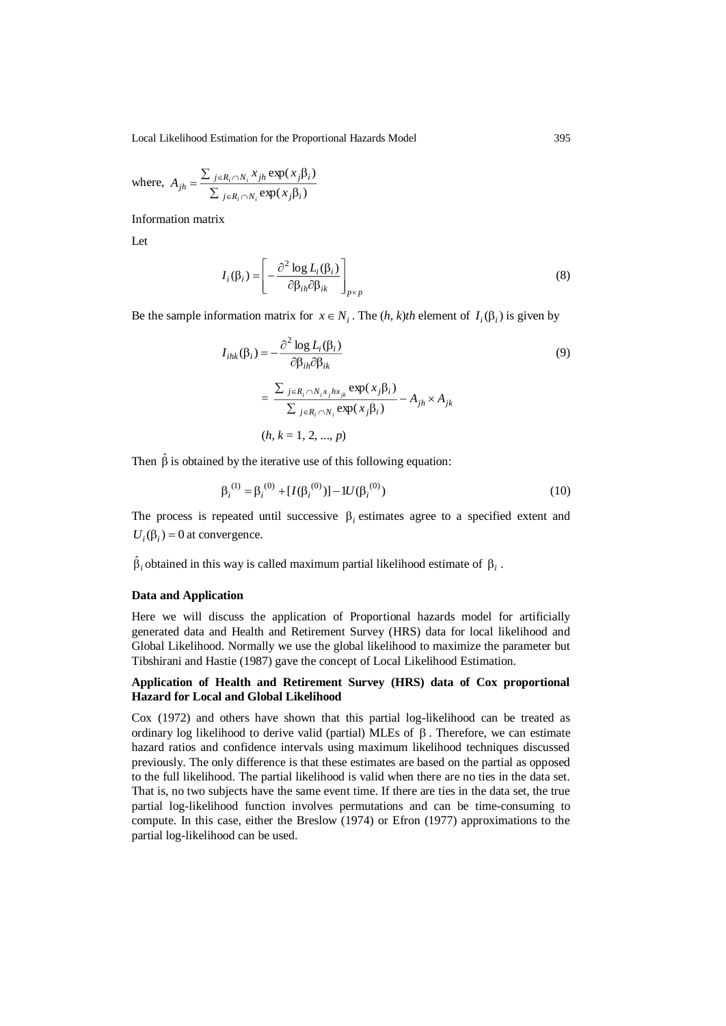Local Likelihood Estimation for the Proportional Hazards Model 395

where, 
$$
A_{jh} = \frac{\sum_{j \in R_i \cap N_i} x_{jh} \exp(x_j \beta_i)}{\sum_{j \in R_i \cap N_i} \exp(x_j \beta_i)}
$$

Information matrix

Let

$$
I_i(\beta_i) = \left[ -\frac{\partial^2 \log L_i(\beta_i)}{\partial \beta_{ih} \partial \beta_{ik}} \right]_{p \times p}
$$
 (8)

Be the sample information matrix for  $x \in N_i$ . The  $(h, k)$ th element of  $I_i(\beta_i)$  is given by

$$
I_{ihk}(\beta_i) = -\frac{\partial^2 \log L_i(\beta_i)}{\partial \beta_{ih} \partial \beta_{ik}}
$$
  
= 
$$
\frac{\sum_{j \in R_i \cap N_i x_j hx_{jk}} \exp(x_j \beta_i)}{\sum_{j \in R_i \cap N_i} \exp(x_j \beta_i)} - A_{jh} \times A_{jk}
$$
  
(*h*, *k* = 1, 2, ..., *p*)

Then  $\hat{\beta}$  is obtained by the iterative use of this following equation:

$$
\beta_i^{(1)} = \beta_i^{(0)} + [I(\beta_i^{(0)})] - I(\beta_i^{(0)})
$$
\n(10)

The process is repeated until successive  $\beta_i$  estimates agree to a specified extent and  $U_i(\beta_i) = 0$  at convergence.

 $\hat{\beta}_i$  obtained in this way is called maximum partial likelihood estimate of  $\beta_i$ .

## **Data and Application**

Here we will discuss the application of Proportional hazards model for artificially generated data and Health and Retirement Survey (HRS) data for local likelihood and Global Likelihood. Normally we use the global likelihood to maximize the parameter but Tibshirani and Hastie (1987) gave the concept of Local Likelihood Estimation.

# **Application of Health and Retirement Survey (HRS) data of Cox proportional Hazard for Local and Global Likelihood**

Cox (1972) and others have shown that this partial log-likelihood can be treated as ordinary log likelihood to derive valid (partial) MLEs of  $\beta$ . Therefore, we can estimate hazard ratios and confidence intervals using maximum likelihood techniques discussed previously. The only difference is that these estimates are based on the partial as opposed to the full likelihood. The partial likelihood is valid when there are no ties in the data set. That is, no two subjects have the same event time. If there are ties in the data set, the true partial log-likelihood function involves permutations and can be time-consuming to compute. In this case, either the Breslow (1974) or Efron (1977) approximations to the partial log-likelihood can be used.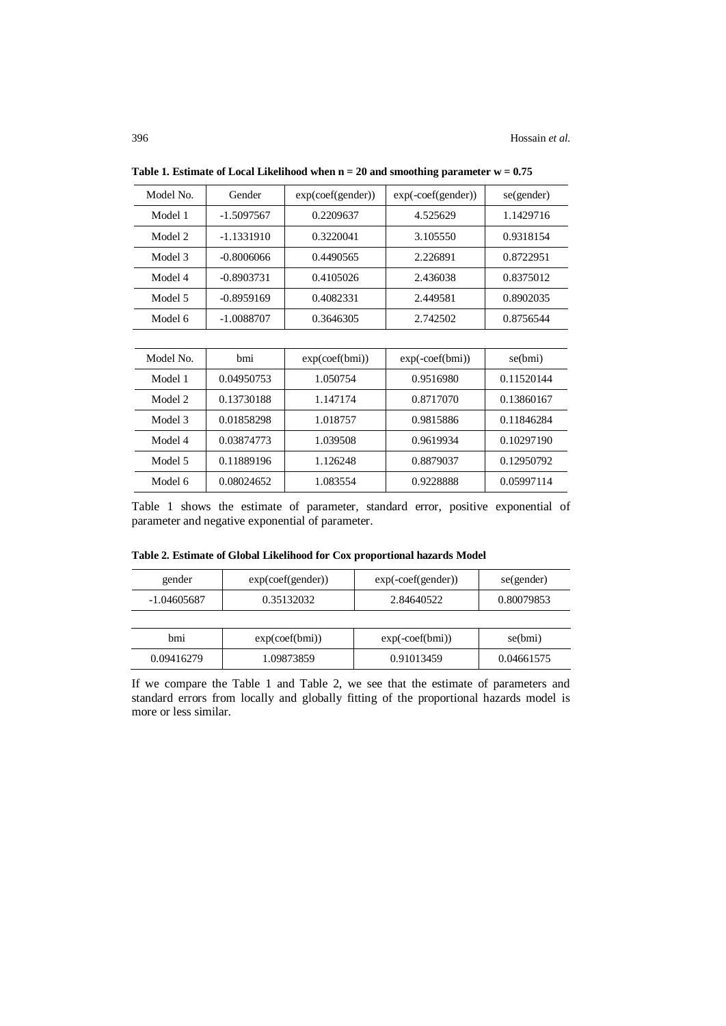| Model No. | Gender       | exp(coeff(gender)) | $exp(-\text{coef}(\text{gender}))$ | se(gender) |
|-----------|--------------|--------------------|------------------------------------|------------|
| Model 1   | $-1.5097567$ | 0.2209637          | 4.525629                           | 1.1429716  |
| Model 2   | $-1.1331910$ | 0.3220041          | 3.105550                           | 0.9318154  |
| Model 3   | $-0.8006066$ | 0.4490565          | 2.226891                           | 0.8722951  |
| Model 4   | $-0.8903731$ | 0.4105026          | 2.436038                           | 0.8375012  |
| Model 5   | $-0.8959169$ | 0.4082331          | 2.449581                           | 0.8902035  |
| Model 6   | $-1.0088707$ | 0.3646305          | 2.742502                           | 0.8756544  |
|           |              |                    |                                    |            |
| Model No. | bmi          | exp(coeff(bmi))    | $exp(-\text{coef}(bmi))$           | se(bmi)    |
| Model 1   | 0.04950753   | 1.050754           | 0.9516980                          | 0.11520144 |
| Model 2   | 0.13730188   | 1.147174           | 0.8717070                          | 0.13860167 |
| Model 3   | 0.01858298   | 1.018757           | 0.9815886                          | 0.11846284 |
|           | . <i>.</i> . |                    |                                    |            |

**Table 1. Estimate of Local Likelihood when n = 20 and smoothing parameter w = 0.75**

| Model 3 | 0.01858298 | 1.018757 | 0.9815886 | 0.11846284 |
|---------|------------|----------|-----------|------------|
| Model 4 | 0.03874773 | 1.039508 | 0.9619934 | 0.10297190 |
| Model 5 | 0.11889196 | 1.126248 | 0.8879037 | 0.12950792 |
| Model 6 | 0.08024652 | 1.083554 | 0.9228888 | 0.05997114 |
|         |            |          |           |            |

Table 1 shows the estimate of parameter, standard error, positive exponential of parameter and negative exponential of parameter.

|  |  |  |  |  | Table 2. Estimate of Global Likelihood for Cox proportional hazards Model |  |  |
|--|--|--|--|--|---------------------------------------------------------------------------|--|--|
|--|--|--|--|--|---------------------------------------------------------------------------|--|--|

| gender      | exp(coeff(gender)) | $exp(-\text{coef}(\text{gender}))$ | se(gender) |
|-------------|--------------------|------------------------------------|------------|
| -1.04605687 | 0.35132032         | 2.84640522                         | 0.80079853 |
|             |                    |                                    |            |
| hmi         | exp(coeff(bmi))    | $exp(-\text{coef}(bm))$            | se(bmi)    |
| 0.09416279  | 1.09873859         | 0.91013459                         | 0.04661575 |

If we compare the Table 1 and Table 2, we see that the estimate of parameters and standard errors from locally and globally fitting of the proportional hazards model is more or less similar.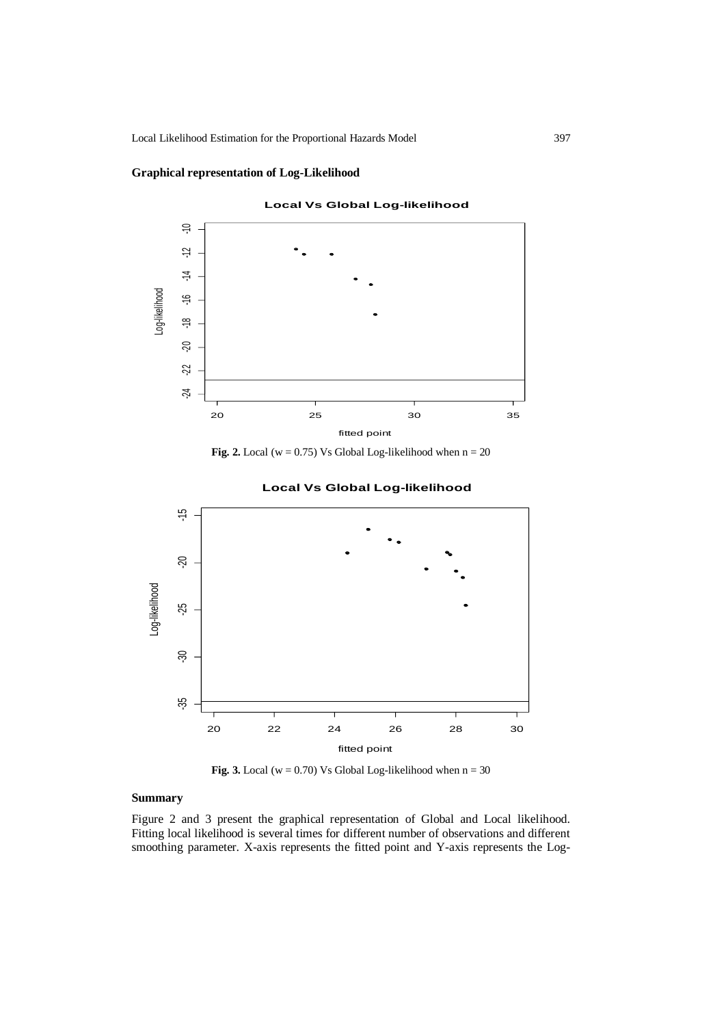Local Likelihood Estimation for the Proportional Hazards Model 397

# **Graphical representation of Log-Likelihood**



**Fig. 2.** Local ( $w = 0.75$ ) Vs Global Log-likelihood when  $n = 20$ 





**Fig. 3.** Local ( $w = 0.70$ ) Vs Global Log-likelihood when  $n = 30$ 

# **Summary**

Figure 2 and 3 present the graphical representation of Global and Local likelihood. Fitting local likelihood is several times for different number of observations and different smoothing parameter. X-axis represents the fitted point and Y-axis represents the Log